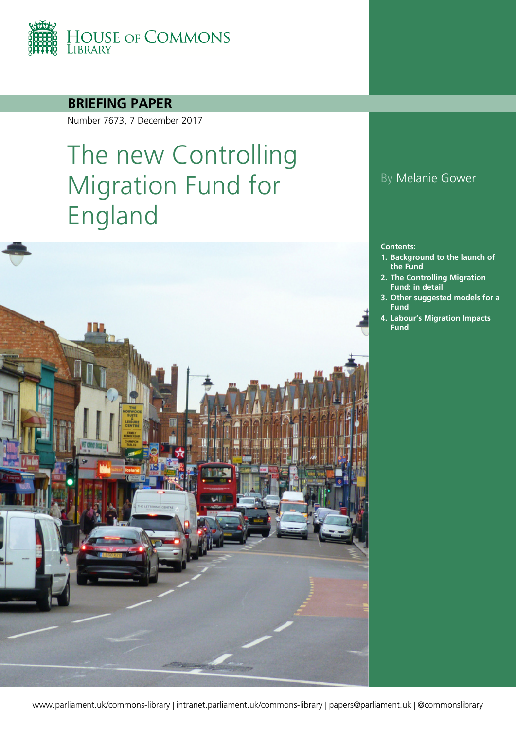

#### **BRIEFING PAPER**

Number 7673, 7 December 2017

# The new Controlling Migration Fund for England



#### By Melanie Gower

#### **Contents:**

- **1. [Background to the launch of](#page-3-0)  [the Fund](#page-3-0)**
- **2. [The Controlling Migration](#page-4-0)  [Fund: in detail](#page-4-0)**
- **3. [Other suggested models for a](#page-7-0)  [Fund](#page-7-0)**
- **4. [Labour's Migration Impacts](#page-10-0)  [Fund](#page-10-0)**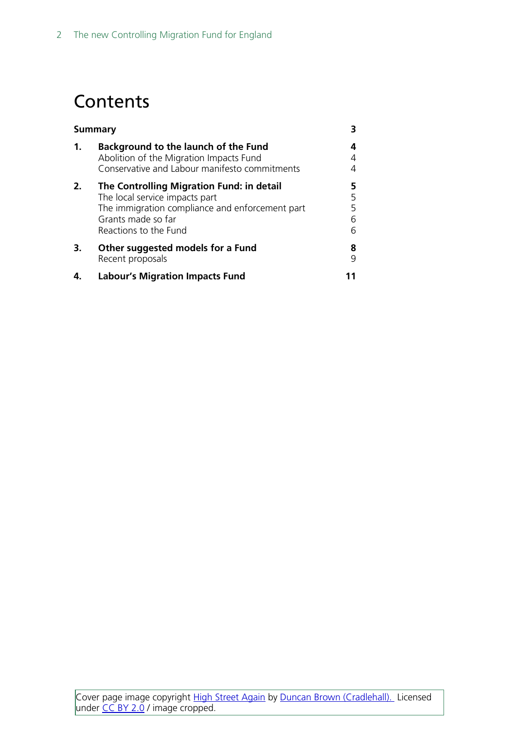## **Contents**

| <b>Summary</b> |                                                                                                                                                                               | 3                     |
|----------------|-------------------------------------------------------------------------------------------------------------------------------------------------------------------------------|-----------------------|
| 1.             | Background to the launch of the Fund<br>Abolition of the Migration Impacts Fund<br>Conservative and Labour manifesto commitments                                              | 4<br>4                |
| 2.             | The Controlling Migration Fund: in detail<br>The local service impacts part<br>The immigration compliance and enforcement part<br>Grants made so far<br>Reactions to the Fund | 5<br>5<br>5<br>6<br>6 |
| 3.             | Other suggested models for a Fund<br>Recent proposals                                                                                                                         | 8<br>q                |
|                | <b>Labour's Migration Impacts Fund</b>                                                                                                                                        |                       |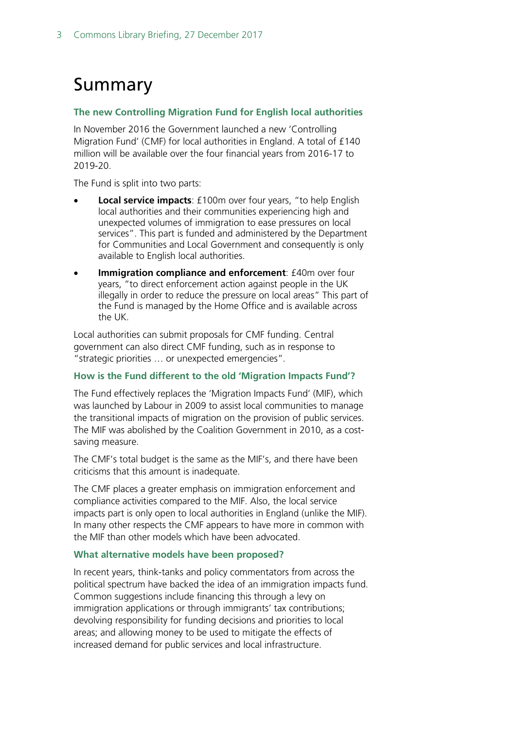## <span id="page-2-0"></span>Summary

#### **The new Controlling Migration Fund for English local authorities**

In November 2016 the Government launched a new 'Controlling Migration Fund' (CMF) for local authorities in England. A total of £140 million will be available over the four financial years from 2016-17 to 2019-20.

The Fund is split into two parts:

- **Local service impacts**: £100m over four years, "to help English local authorities and their communities experiencing high and unexpected volumes of immigration to ease pressures on local services". This part is funded and administered by the Department for Communities and Local Government and consequently is only available to English local authorities.
- **Immigration compliance and enforcement**: £40m over four years, "to direct enforcement action against people in the UK illegally in order to reduce the pressure on local areas" This part of the Fund is managed by the Home Office and is available across the UK.

Local authorities can submit proposals for CMF funding. Central government can also direct CMF funding, such as in response to "strategic priorities … or unexpected emergencies".

#### **How is the Fund different to the old 'Migration Impacts Fund'?**

The Fund effectively replaces the 'Migration Impacts Fund' (MIF), which was launched by Labour in 2009 to assist local communities to manage the transitional impacts of migration on the provision of public services. The MIF was abolished by the Coalition Government in 2010, as a costsaving measure.

The CMF's total budget is the same as the MIF's, and there have been criticisms that this amount is inadequate.

The CMF places a greater emphasis on immigration enforcement and compliance activities compared to the MIF. Also, the local service impacts part is only open to local authorities in England (unlike the MIF). In many other respects the CMF appears to have more in common with the MIF than other models which have been advocated.

#### **What alternative models have been proposed?**

In recent years, think-tanks and policy commentators from across the political spectrum have backed the idea of an immigration impacts fund. Common suggestions include financing this through a levy on immigration applications or through immigrants' tax contributions; devolving responsibility for funding decisions and priorities to local areas; and allowing money to be used to mitigate the effects of increased demand for public services and local infrastructure.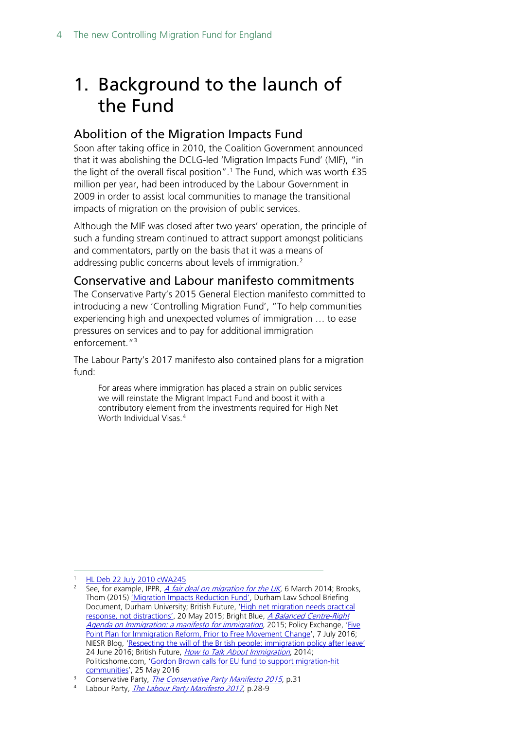## <span id="page-3-0"></span>1. Background to the launch of the Fund

#### <span id="page-3-1"></span>Abolition of the Migration Impacts Fund

Soon after taking office in 2010, the Coalition Government announced that it was abolishing the DCLG-led 'Migration Impacts Fund' (MIF), "in the light of the overall fiscal position". [1](#page-3-3) The Fund, which was worth £35 million per year, had been introduced by the Labour Government in 2009 in order to assist local communities to manage the transitional impacts of migration on the provision of public services.

Although the MIF was closed after two years' operation, the principle of such a funding stream continued to attract support amongst politicians and commentators, partly on the basis that it was a means of addressing public concerns about levels of immigration.<sup>[2](#page-3-4)</sup>

#### <span id="page-3-2"></span>Conservative and Labour manifesto commitments

The Conservative Party's 2015 General Election manifesto committed to introducing a new 'Controlling Migration Fund', "To help communities experiencing high and unexpected volumes of immigration … to ease pressures on services and to pay for additional immigration enforcement."[3](#page-3-5)

The Labour Party's 2017 manifesto also contained plans for a migration fund:

For areas where immigration has placed a strain on public services we will reinstate the Migrant Impact Fund and boost it with a contributory element from the investments required for High Net Worth Individual Visas.<sup>[4](#page-3-6)</sup>

<span id="page-3-4"></span><span id="page-3-3"></span>[HL Deb 22 July 2010 cWA245](http://www.publications.parliament.uk/pa/ld201011/ldhansrd/text/100722w0001.htm#10072237000491)

See, for example, IPPR, *A fair deal on migration for the UK*, 6 March 2014; Brooks, Thom (2015) ['Migration Impacts Reduction Fund',](https://www.dur.ac.uk/resources/law/research/Brooks_MigrationImpactsReductionFund.pdf) Durham Law School Briefing Document, Durham University; British Future, 'High net migration needs practical [response, not distractions',](http://www.britishfuture.org/articles/net-migration-distraction/) 20 May 2015; Bright Blue, *A Balanced Centre-Right* [Agenda on Immigration: a manifesto for immigration](http://www.barrowcadbury.org.uk/wp-content/uploads/2015/04/A-manifesto-for-immigration.pdf), 2015; Policy Exchange, 'Five Point Plan for Immigration [Reform, Prior to Free Movement Change',](http://www.policyexchange.org.uk/media-centre/in-the-news/item/five-point-plan-for-immigration-reform-prior-to-free-movement-change-2?category_id=12) 7 July 2016; NIESR Blog, ['Respecting the will of the British people: immigration policy after leave'](http://www.niesr.ac.uk/blog/respecting-will-british-people-immigration-policy-after-leave#.V5d8c9IrLcs) 24 June 2016; British Future, *[How to Talk About Immigration](http://www.britishfuture.org/wp-content/uploads/2014/11/How-To-Talk-About-Immigration-FINAL.pdf)*, 2014; Politicshome.com, ['Gordon Brown calls for EU fund to support migration-hit](https://www.politicshome.com/news/europe/eu-policy-agenda/brexit/news/75389/gordon-brown-calls-eu-fund-support-migration-hit)  [communities'](https://www.politicshome.com/news/europe/eu-policy-agenda/brexit/news/75389/gordon-brown-calls-eu-fund-support-migration-hit), 25 May 2016

<span id="page-3-5"></span><sup>&</sup>lt;sup>3</sup> Conservative Party, *[The Conservative Party Manifesto 2015](file://hpap03f/DIS/Homedrives/GOWERM/To%20help%20communities%20experiencing%20high%20and)*, p.31<br>4 **Jahour Party**, *The Labour Party Manifesto* 2017 p.28.9

<span id="page-3-6"></span>Labour Party, [The Labour Party Manifesto 2017](http://labour.org.uk/wp-content/uploads/2017/10/labour-manifesto-2017.pdf), p.28-9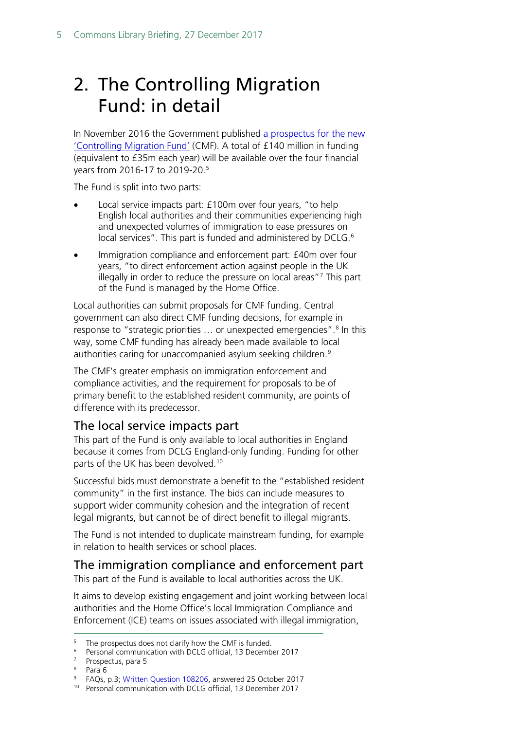## <span id="page-4-0"></span>2. The Controlling Migration Fund: in detail

In November 2016 the Government published [a prospectus for the new](https://www.gov.uk/government/publications/controlling-migration-fund-prospectus)  ['Controlling Migration Fund'](https://www.gov.uk/government/publications/controlling-migration-fund-prospectus) (CMF). A total of £140 million in funding (equivalent to £35m each year) will be available over the four financial years from 2016-17 to 2019-20. [5](#page-4-3)

The Fund is split into two parts:

- Local service impacts part: £100m over four years, "to help English local authorities and their communities experiencing high and unexpected volumes of immigration to ease pressures on local services". This part is funded and administered by DCLG.<sup>[6](#page-4-4)</sup>
- Immigration compliance and enforcement part: £40m over four years, "to direct enforcement action against people in the UK illegally in order to reduce the pressure on local areas["7](#page-4-5) This part of the Fund is managed by the Home Office.

Local authorities can submit proposals for CMF funding. Central government can also direct CMF funding decisions, for example in response to "strategic priorities ... or unexpected emergencies".<sup>8</sup> In this way, some CMF funding has already been made available to local authorities caring for unaccompanied asylum seeking children.<sup>[9](#page-4-7)</sup>

The CMF's greater emphasis on immigration enforcement and compliance activities, and the requirement for proposals to be of primary benefit to the established resident community, are points of difference with its predecessor.

#### <span id="page-4-1"></span>The local service impacts part

This part of the Fund is only available to local authorities in England because it comes from DCLG England-only funding. Funding for other parts of the UK has been devolved.<sup>[10](#page-4-8)</sup>

Successful bids must demonstrate a benefit to the "established resident community" in the first instance. The bids can include measures to support wider community cohesion and the integration of recent legal migrants, but cannot be of direct benefit to illegal migrants.

The Fund is not intended to duplicate mainstream funding, for example in relation to health services or school places.

<span id="page-4-2"></span>The immigration compliance and enforcement part

This part of the Fund is available to local authorities across the UK.

It aims to develop existing engagement and joint working between local authorities and the Home Office's local Immigration Compliance and Enforcement (ICE) teams on issues associated with illegal immigration,

- <span id="page-4-4"></span><span id="page-4-3"></span><sup>6</sup> Personal communication with DCLG official, 13 December 2017
- <sup>7</sup> Prospectus, para 5
- <span id="page-4-6"></span><span id="page-4-5"></span><sup>8</sup> Para 6

The prospectus does not clarify how the CMF is funded.

<span id="page-4-8"></span><span id="page-4-7"></span><sup>9</sup> FAQs, p.3; [Written Question 108206,](http://www.parliament.uk/written-questions-answers-statements/written-question/commons/2017-10-17/108206) answered 25 October 2017

<sup>10</sup> Personal communication with DCLG official, 13 December 2017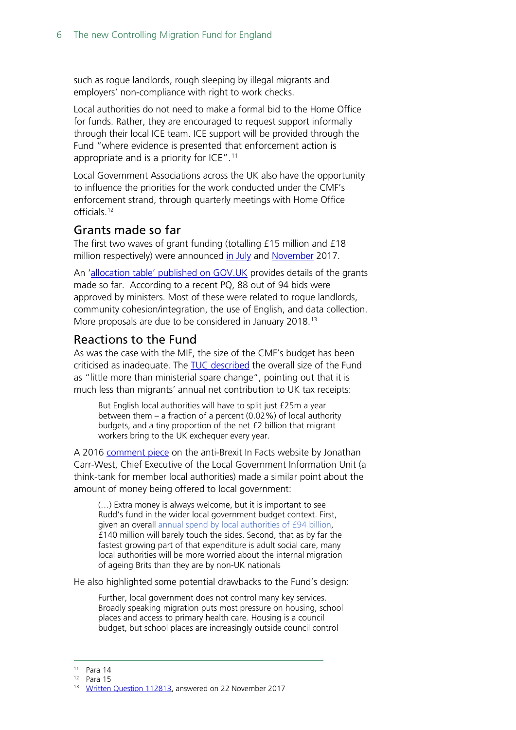such as rogue landlords, rough sleeping by illegal migrants and employers' non-compliance with right to work checks.

Local authorities do not need to make a formal bid to the Home Office for funds. Rather, they are encouraged to request support informally through their local ICE team. ICE support will be provided through the Fund "where evidence is presented that enforcement action is appropriate and is a priority for ICE".[11](#page-5-2)

Local Government Associations across the UK also have the opportunity to influence the priorities for the work conducted under the CMF's enforcement strand, through quarterly meetings with Home Office officials.[12](#page-5-3)

#### <span id="page-5-0"></span>Grants made so far

The first two waves of grant funding (totalling £15 million and £18 million respectively) were announced [in July](https://www.gov.uk/government/news/local-councils-to-receive-15-million-in-extra-funding) and [November](https://www.gov.uk/government/news/18-million-extra-funding-for-council-services) 2017.

An ['allocation table' published on GOV.UK](https://www.gov.uk/government/uploads/system/uploads/attachment_data/file/658707/CMF_allocations_announcement.pdf) provides details of the grants made so far. According to a recent PQ, 88 out of 94 bids were approved by ministers. Most of these were related to rogue landlords, community cohesion/integration, the use of English, and data collection. More proposals are due to be considered in January 2018.<sup>[13](#page-5-4)</sup>

#### <span id="page-5-1"></span>Reactions to the Fund

As was the case with the MIF, the size of the CMF's budget has been criticised as inadequate. The [TUC described](https://www.tuc.org.uk/news/government-fund-tackle-migration-impacts-little-more-ministerial-spare-change-says-tuc) the overall size of the Fund as "little more than ministerial spare change", pointing out that it is much less than migrants' annual net contribution to UK tax receipts:

But English local authorities will have to split just £25m a year between them – a fraction of a percent (0.02%) of local authority budgets, and a tiny proportion of the net £2 billion that migrant workers bring to the UK exchequer every year.

A 2016 [comment piece](https://infacts.org/rudds-migration-fund-part-hardline-policy/) on the anti-Brexit In Facts website by Jonathan Carr-West, Chief Executive of the Local Government Information Unit (a think-tank for member local authorities) made a similar point about the amount of money being offered to local government:

(…) Extra money is always welcome, but it is important to see Rudd's fund in the wider local government budget context. First, given an overall [annual spend by local authorities of £94 billion,](https://www.gov.uk/government/uploads/system/uploads/attachment_data/file/532932/RA_Budget_2016-17_Statistical_Release.pdf) £140 million will barely touch the sides. Second, that as by far the fastest growing part of that expenditure is adult social care, many local authorities will be more worried about the internal migration of ageing Brits than they are by non-UK nationals

He also highlighted some potential drawbacks to the Fund's design:

Further, local government does not control many key services. Broadly speaking migration puts most pressure on housing, school places and access to primary health care. Housing is a council budget, but school places are increasingly outside council control

<span id="page-5-2"></span> <sup>11</sup> Para 14

<span id="page-5-4"></span><span id="page-5-3"></span><sup>12</sup> Para 15

<sup>13</sup> [Written Question 112813,](http://www.parliament.uk/written-questions-answers-statements/written-question/commons/2017-11-14/112813) answered on 22 November 2017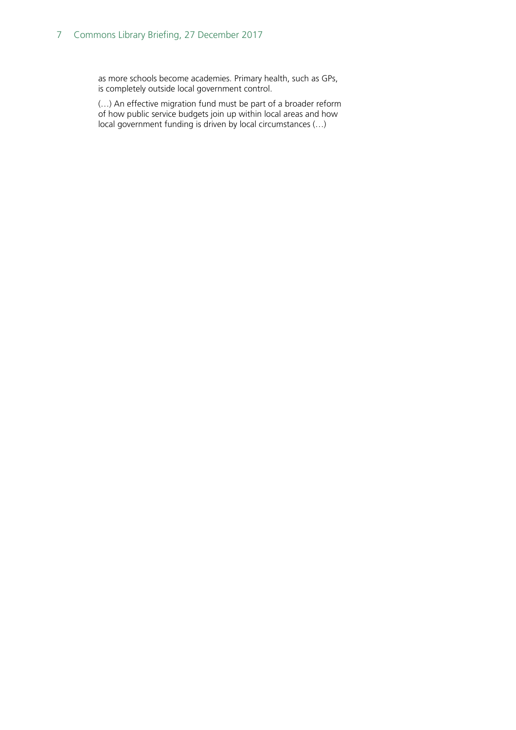#### 7 Commons Library Briefing, 27 December 2017

as more schools become academies. Primary health, such as GPs, is completely outside local government control.

(…) An effective migration fund must be part of a broader reform of how public service budgets join up within local areas and how local government funding is driven by local circumstances (…)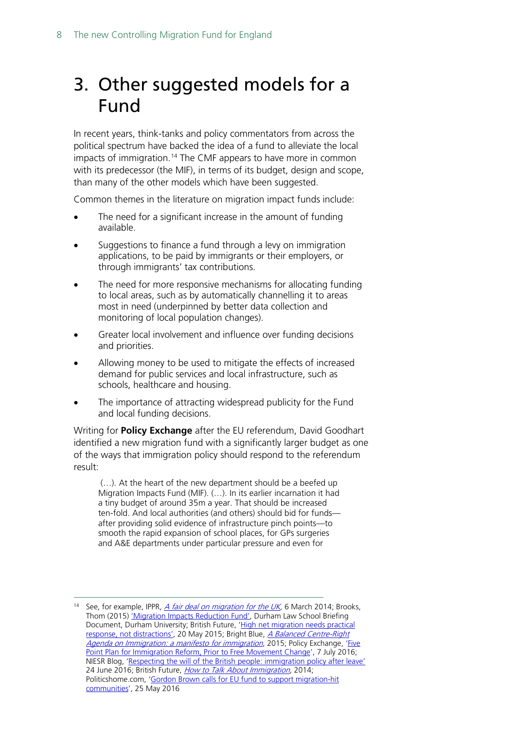## <span id="page-7-0"></span>3. Other suggested models for a Fund

In recent years, think-tanks and policy commentators from across the political spectrum have backed the idea of a fund to alleviate the local impacts of immigration.<sup>14</sup> The CMF appears to have more in common with its predecessor (the MIF), in terms of its budget, design and scope, than many of the other models which have been suggested.

Common themes in the literature on migration impact funds include:

- The need for a significant increase in the amount of funding available.
- Suggestions to finance a fund through a levy on immigration applications, to be paid by immigrants or their employers, or through immigrants' tax contributions.
- The need for more responsive mechanisms for allocating funding to local areas, such as by automatically channelling it to areas most in need (underpinned by better data collection and monitoring of local population changes).
- Greater local involvement and influence over funding decisions and priorities.
- Allowing money to be used to mitigate the effects of increased demand for public services and local infrastructure, such as schools, healthcare and housing.
- The importance of attracting widespread publicity for the Fund and local funding decisions.

Writing for **Policy Exchange** after the EU referendum, David Goodhart identified a new migration fund with a significantly larger budget as one of the ways that immigration policy should respond to the referendum result:

(…). At the heart of the new department should be a beefed up Migration Impacts Fund (MIF). (…). In its earlier incarnation it had a tiny budget of around 35m a year. That should be increased ten-fold. And local authorities (and others) should bid for funds after providing solid evidence of infrastructure pinch points—to smooth the rapid expansion of school places, for GPs surgeries and A&E departments under particular pressure and even for

<span id="page-7-1"></span><sup>&</sup>lt;sup>14</sup> See, for example, IPPR, *A fair deal on migration for the UK*, 6 March 2014; Brooks, Thom (2015) ['Migration Impacts Reduction Fund',](https://www.dur.ac.uk/resources/law/research/Brooks_MigrationImpactsReductionFund.pdf) Durham Law School Briefing Document, Durham University; British Future, 'High net migration needs practical [response, not distractions',](http://www.britishfuture.org/articles/net-migration-distraction/) 20 May 2015; Bright Blue, *A Balanced Centre-Right* [Agenda on Immigration: a manifesto for immigration](http://www.barrowcadbury.org.uk/wp-content/uploads/2015/04/A-manifesto-for-immigration.pdf), 2015; Policy Exchange, 'Five [Point Plan for Immigration Reform, Prior to Free Movement Change',](http://www.policyexchange.org.uk/media-centre/in-the-news/item/five-point-plan-for-immigration-reform-prior-to-free-movement-change-2?category_id=12) 7 July 2016; NIESR Blog, ['Respecting the will of the British people: immigration](http://www.niesr.ac.uk/blog/respecting-will-british-people-immigration-policy-after-leave#.V5d8c9IrLcs) policy after leave' 24 June 2016; British Future, *[How to Talk About Immigration](http://www.britishfuture.org/wp-content/uploads/2014/11/How-To-Talk-About-Immigration-FINAL.pdf)*, 2014; Politicshome.com, ['Gordon Brown calls for EU fund to support migration-hit](https://www.politicshome.com/news/europe/eu-policy-agenda/brexit/news/75389/gordon-brown-calls-eu-fund-support-migration-hit)  [communities'](https://www.politicshome.com/news/europe/eu-policy-agenda/brexit/news/75389/gordon-brown-calls-eu-fund-support-migration-hit), 25 May 2016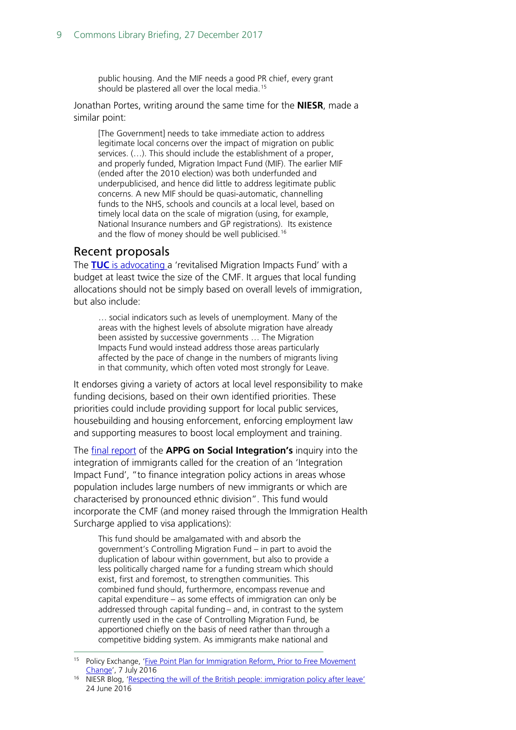public housing. And the MIF needs a good PR chief, every grant should be plastered all over the local media.<sup>[15](#page-8-1)</sup>

Jonathan Portes, writing around the same time for the **NIESR**, made a similar point:

[The Government] needs to take immediate action to address legitimate local concerns over the impact of migration on public services. (…). This should include the establishment of a proper, and properly funded, Migration Impact Fund (MIF). The earlier MIF (ended after the 2010 election) was both underfunded and underpublicised, and hence did little to address legitimate public concerns. A new MIF should be quasi-automatic, channelling funds to the NHS, schools and councils at a local level, based on timely local data on the scale of migration (using, for example, National Insurance numbers and GP registrations). Its existence and the flow of money should be well publicised.<sup>[16](#page-8-2)</sup>

#### <span id="page-8-0"></span>Recent proposals

The **TUC** [is advocating a](https://www.tuc.org.uk/sites/default/files/A%20fairer%20deal%20on%20migration.pdf) 'revitalised Migration Impacts Fund' with a budget at least twice the size of the CMF. It argues that local funding allocations should not be simply based on overall levels of immigration, but also include:

… social indicators such as levels of unemployment. Many of the areas with the highest levels of absolute migration have already been assisted by successive governments … The Migration Impacts Fund would instead address those areas particularly affected by the pace of change in the numbers of migrants living in that community, which often voted most strongly for Leave.

It endorses giving a variety of actors at local level responsibility to make funding decisions, based on their own identified priorities. These priorities could include providing support for local public services, housebuilding and housing enforcement, enforcing employment law and supporting measures to boost local employment and training.

The [final report](http://d3n8a8pro7vhmx.cloudfront.net/themes/570513f1b504f500db000001/attachments/original/1504379228/TC0016_AAPG_Integration_not_Demonisation_Report.pdf?1504379228) of the **APPG on Social Integration's** inquiry into the integration of immigrants called for the creation of an 'Integration Impact Fund', "to finance integration policy actions in areas whose population includes large numbers of new immigrants or which are characterised by pronounced ethnic division". This fund would incorporate the CMF (and money raised through the Immigration Health Surcharge applied to visa applications):

This fund should be amalgamated with and absorb the government's Controlling Migration Fund – in part to avoid the duplication of labour within government, but also to provide a less politically charged name for a funding stream which should exist, first and foremost, to strengthen communities. This combined fund should, furthermore, encompass revenue and capital expenditure – as some effects of immigration can only be addressed through capital funding – and, in contrast to the system currently used in the case of Controlling Migration Fund, be apportioned chiefly on the basis of need rather than through a competitive bidding system. As immigrants make national and

<span id="page-8-1"></span><sup>&</sup>lt;sup>15</sup> Policy Exchange, 'Five Point Plan for Immigration Reform, Prior to Free Movement [Change',](http://www.policyexchange.org.uk/media-centre/in-the-news/item/five-point-plan-for-immigration-reform-prior-to-free-movement-change-2?category_id=12) 7 July 2016

<span id="page-8-2"></span><sup>&</sup>lt;sup>16</sup> NIESR Blog, ['Respecting the will of the British people: immigration policy after leave'](http://www.niesr.ac.uk/blog/respecting-will-british-people-immigration-policy-after-leave#.V5d8c9IrLcs) 24 June 2016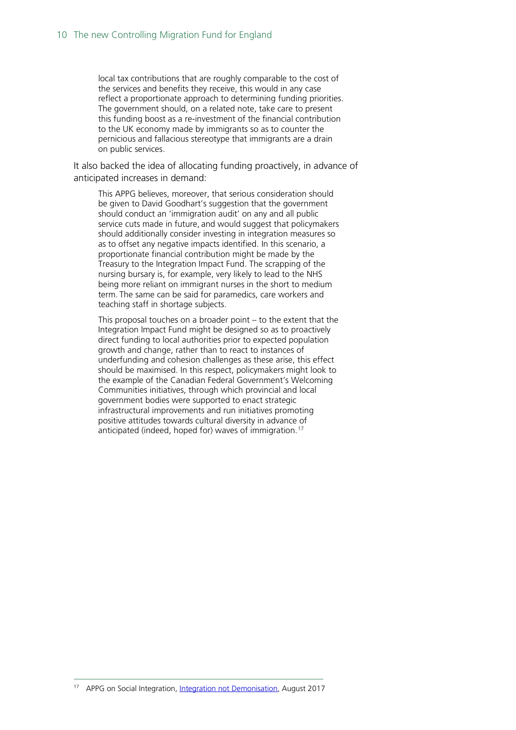local tax contributions that are roughly comparable to the cost of the services and benefits they receive, this would in any case reflect a proportionate approach to determining funding priorities. The government should, on a related note, take care to present this funding boost as a re-investment of the financial contribution to the UK economy made by immigrants so as to counter the pernicious and fallacious stereotype that immigrants are a drain on public services.

It also backed the idea of allocating funding proactively, in advance of anticipated increases in demand:

This APPG believes, moreover, that serious consideration should be given to David Goodhart's suggestion that the government should conduct an 'immigration audit' on any and all public service cuts made in future, and would suggest that policymakers should additionally consider investing in integration measures so as to offset any negative impacts identified. In this scenario, a proportionate financial contribution might be made by the Treasury to the Integration Impact Fund. The scrapping of the nursing bursary is, for example, very likely to lead to the NHS being more reliant on immigrant nurses in the short to medium term. The same can be said for paramedics, care workers and teaching staff in shortage subjects.

This proposal touches on a broader point – to the extent that the Integration Impact Fund might be designed so as to proactively direct funding to local authorities prior to expected population growth and change, rather than to react to instances of underfunding and cohesion challenges as these arise, this effect should be maximised. In this respect, policymakers might look to the example of the Canadian Federal Government's Welcoming Communities initiatives, through which provincial and local government bodies were supported to enact strategic infrastructural improvements and run initiatives promoting positive attitudes towards cultural diversity in advance of anticipated (indeed, hoped for) waves of immigration.<sup>[17](#page-9-0)</sup>

<span id="page-9-0"></span><sup>&</sup>lt;sup>17</sup> APPG on Social Integration, [Integration not Demonisation,](http://d3n8a8pro7vhmx.cloudfront.net/themes/570513f1b504f500db000001/attachments/original/1504379228/TC0016_AAPG_Integration_not_Demonisation_Report.pdf?1504379228) August 2017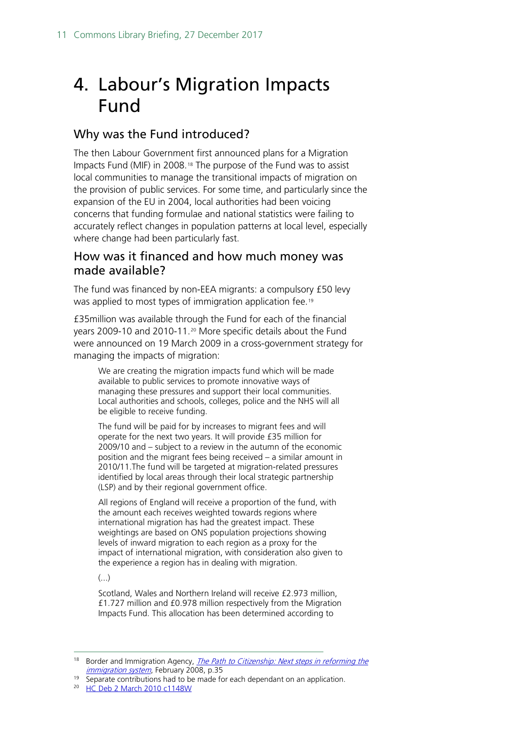## <span id="page-10-0"></span>4. Labour's Migration Impacts Fund

#### Why was the Fund introduced?

The then Labour Government first announced plans for a Migration Impacts Fund (MIF) in 2008.<sup>[18](#page-10-1)</sup> The purpose of the Fund was to assist local communities to manage the transitional impacts of migration on the provision of public services. For some time, and particularly since the expansion of the EU in 2004, local authorities had been voicing concerns that funding formulae and national statistics were failing to accurately reflect changes in population patterns at local level, especially where change had been particularly fast.

#### How was it financed and how much money was made available?

The fund was financed by non-EEA migrants: a compulsory £50 levy was applied to most types of immigration application fee.[19](#page-10-2)

£35million was available through the Fund for each of the financial years 2009-10 and 2010-11.[20](#page-10-3) More specific details about the Fund were announced on 19 March 2009 in a cross-government strategy for managing the impacts of migration:

We are creating the migration impacts fund which will be made available to public services to promote innovative ways of managing these pressures and support their local communities. Local authorities and schools, colleges, police and the NHS will all be eligible to receive funding.

The fund will be paid for by increases to migrant fees and will operate for the next two years. It will provide £35 million for 2009/10 and – subject to a review in the autumn of the economic position and the migrant fees being received – a similar amount in 2010/11.The fund will be targeted at migration-related pressures identified by local areas through their local strategic partnership (LSP) and by their regional government office.

All regions of England will receive a proportion of the fund, with the amount each receives weighted towards regions where international migration has had the greatest impact. These weightings are based on ONS population projections showing levels of inward migration to each region as a proxy for the impact of international migration, with consideration also given to the experience a region has in dealing with migration.

 $\left(\ldots\right)$ 

Scotland, Wales and Northern Ireland will receive £2.973 million, £1.727 million and £0.978 million respectively from the Migration Impacts Fund. This allocation has been determined according to

<span id="page-10-3"></span><span id="page-10-2"></span><sup>20</sup> [HC Deb 2 March 2010 c1148W](http://www.publications.parliament.uk/pa/cm200910/cmhansrd/cm100302/text/100302w0034.htm#10030317000049)

<span id="page-10-1"></span><sup>&</sup>lt;sup>18</sup> Border and Immigration Agency, *The Path to Citizenship: Next steps in reforming the* [immigration system](http://webarchive.nationalarchives.gov.uk/20100303145830/http:/www.ukba.homeoffice.gov.uk/sitecontent/documents/aboutus/consultations/pathtocitizenship/), February 2008, p.35

 $19$  Separate contributions had to be made for each dependant on an application.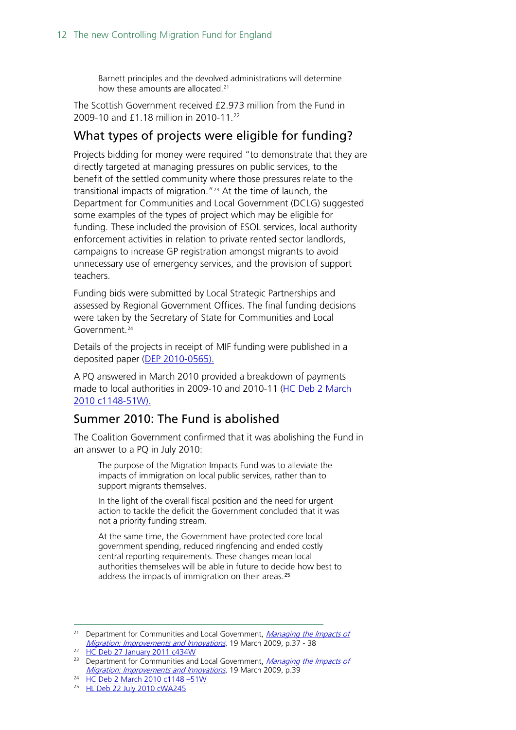Barnett principles and the devolved administrations will determine how these amounts are allocated.<sup>[21](#page-11-0)</sup>

The Scottish Government received £2.973 million from the Fund in 2009-10 and £1.18 million in 2010-11.<sup>[22](#page-11-1)</sup>

#### What types of projects were eligible for funding?

Projects bidding for money were required "to demonstrate that they are directly targeted at managing pressures on public services, to the benefit of the settled community where those pressures relate to the transitional impacts of migration."[23](#page-11-2) At the time of launch, the Department for Communities and Local Government (DCLG) suggested some examples of the types of project which may be eligible for funding. These included the provision of ESOL services, local authority enforcement activities in relation to private rented sector landlords, campaigns to increase GP registration amongst migrants to avoid unnecessary use of emergency services, and the provision of support teachers.

Funding bids were submitted by Local Strategic Partnerships and assessed by Regional Government Offices. The final funding decisions were taken by the Secretary of State for Communities and Local Government.[24](#page-11-3)

Details of the projects in receipt of MIF funding were published in a deposited paper [\(DEP 2010-0565\)](http://deposits.parliament.uk/).

A PQ answered in March 2010 provided a breakdown of payments made to local authorities in 2009-10 and 2010-11 [\(HC Deb 2 March](http://www.publications.parliament.uk/pa/cm200910/cmhansrd/cm100302/text/100302w0034.htm)  [2010 c1148-51W\).](http://www.publications.parliament.uk/pa/cm200910/cmhansrd/cm100302/text/100302w0034.htm)

#### Summer 2010: The Fund is abolished

The Coalition Government confirmed that it was abolishing the Fund in an answer to a PQ in July 2010:

The purpose of the Migration Impacts Fund was to alleviate the impacts of immigration on local public services, rather than to support migrants themselves.

In the light of the overall fiscal position and the need for urgent action to tackle the deficit the Government concluded that it was not a priority funding stream.

At the same time, the Government have protected core local government spending, reduced ringfencing and ended costly central reporting requirements. These changes mean local authorities themselves will be able in future to decide how best to address the impacts of immigration on their areas.<sup>[25](#page-11-4)</sup>

<span id="page-11-0"></span><sup>&</sup>lt;sup>21</sup> Department for Communities and Local Government, Managing the Impacts of [Migration: Improvements and Innovations](http://www.communities.gov.uk/publications/communities/migrationimpactupdate), 19 March 2009, p.37 - 38

<span id="page-11-1"></span><sup>22</sup> [HC Deb 27 January 2011 c434W](http://www.publications.parliament.uk/pa/cm201011/cmhansrd/cm110127/text/110127w0002.htm#11012776000141)

<span id="page-11-2"></span><sup>&</sup>lt;sup>23</sup> Department for Communities and Local Government, Managing the Impacts of [Migration: Improvements and Innovations](http://www.communities.gov.uk/publications/communities/migrationimpactupdate), 19 March 2009, p.39

<span id="page-11-4"></span><span id="page-11-3"></span><sup>24</sup> [HC Deb 2 March 2010 c1148 –51W](http://www.publications.parliament.uk/pa/cm200910/cmhansrd/cm100302/text/100302w0034.htm)

<sup>&</sup>lt;sup>25</sup> [HL Deb 22 July 2010 cWA245](http://www.publications.parliament.uk/pa/ld201011/ldhansrd/text/100722w0001.htm#10072237000491)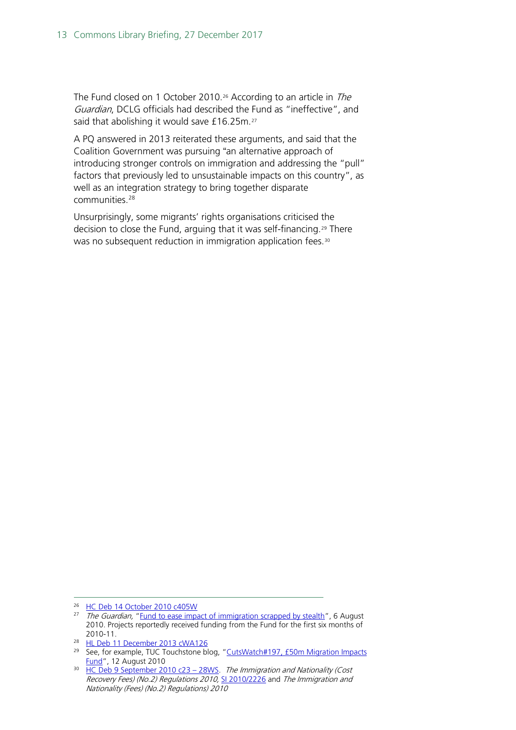The Fund closed on 1 October 2010.<sup>[26](#page-12-0)</sup> According to an article in *The* Guardian, DCLG officials had described the Fund as "ineffective", and said that abolishing it would save £16.25m.<sup>27</sup>

A PQ answered in 2013 reiterated these arguments, and said that the Coalition Government was pursuing "an alternative approach of introducing stronger controls on immigration and addressing the "pull" factors that previously led to unsustainable impacts on this country", as well as an integration strategy to bring together disparate communities.[28](#page-12-2)

Unsurprisingly, some migrants' rights organisations criticised the decision to close the Fund, arguing that it was self-financing.[29](#page-12-3) There was no subsequent reduction in immigration application fees.<sup>[30](#page-12-4)</sup>

<span id="page-12-0"></span><sup>&</sup>lt;sup>26</sup> HC Deb [14 October 2010](http://www.publications.parliament.uk/pa/cm201011/cmhansrd/cm101014/text/101014w0002.htm#10101423000115) c405W

<span id="page-12-1"></span><sup>&</sup>lt;sup>27</sup> The Guardian, ["Fund to ease impact of immigration scrapped by stealth"](http://www.guardian.co.uk/uk/2010/aug/06/fund-impact-immigration-scrapped), 6 August 2010. Projects reportedly received funding from the Fund for the first six months of

<sup>2010-11.&</sup>lt;br><sup>28</sup> [HL Deb 11 December 2013 cWA126](http://www.publications.parliament.uk/pa/ld201314/ldhansrd/text/131211w0001.htm#13121187000367)

<span id="page-12-3"></span><span id="page-12-2"></span><sup>&</sup>lt;sup>29</sup> See, for example, TUC Touchstone blog, "CutsWatch#197, £50m Migration Impacts [Fund"](http://www.touchstoneblog.org.uk/2010/08/cuts-watch-197-50m-migration-impacts-fund/), 12 August 2010

<span id="page-12-4"></span><sup>&</sup>lt;sup>30</sup> HC Deb 9 September 2010 c23 - 28WS. The Immigration and Nationality (Cost Recovery Fees) (No.2) Regulations 2010, [SI 2010/2226](http://www.legislation.gov.uk/uksi/2010/2226/pdfs/uksi_20102226_en.pdf) and The Immigration and Nationality (Fees) (No.2) Regulations) 2010